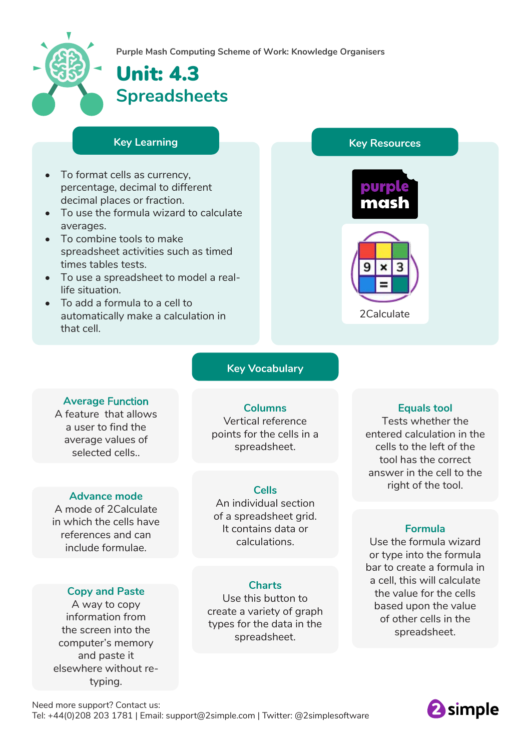

**Purple Mash Computing Scheme of Work: Knowledge Organisers**

# Unit: 4.3 **Spreadsheets**

- To format cells as currency, percentage, decimal to different decimal places or fraction.
- To use the formula wizard to calculate averages.
- To combine tools to make spreadsheet activities such as timed times tables tests.
- To use a spreadsheet to model a reallife situation.
- To add a formula to a cell to automatically make a calculation in that cell.





2Calculate

#### **Key Vocabulary**

#### **Average** Function A feature that allows a user to find the

average values of selected cells..

#### **Advance mode**

A mode of 2Calculate in which the cells have references and can include formulae.

#### **Copy and Paste**

A way to copy information from the screen into the computer's memory and paste it elsewhere without retyping.

## **Columns**

Vertical reference points for the cells in a spreadsheet.

#### **Cells**

An individual section of a spreadsheet grid. It contains data or calculations.

#### **Charts**

Use this button to create a variety of graph types for the data in the spreadsheet.

#### **Equals tool**

Tests whether the entered calculation in the cells to the left of the tool has the correct answer in the cell to the right of the tool.

#### **Formula**

Use the formula wizard or type into the formula bar to create a formula in a cell, this will calculate the value for the cells based upon the value of other cells in the spreadsheet.

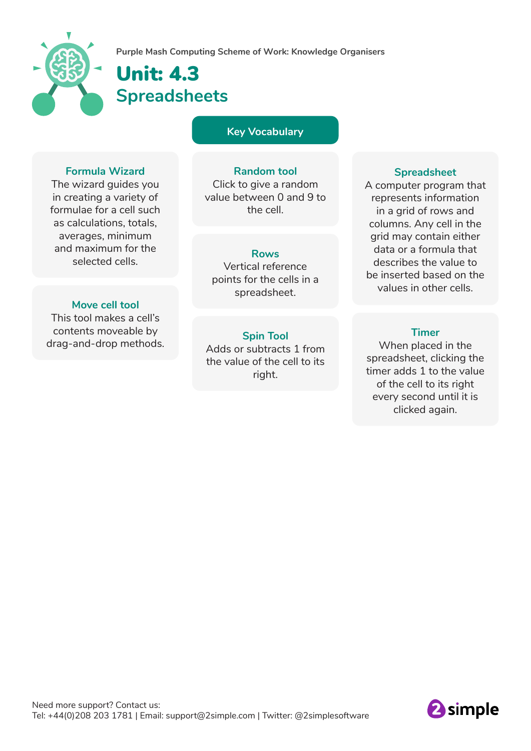

## Unit: 4.3 **Spreadsheets**

**Key Vocabulary**

#### **Formula Wizard**

The wizard guides you in creating a variety of formulae for a cell such as calculations, totals, averages, minimum and maximum for the selected cells.

#### **Move cell tool**

This tool makes a cell's contents moveable by drag-and-drop methods.

#### **Random tool**

Click to give a random value between 0 and 9 to the cell.

#### **Rows**

Vertical reference points for the cells in a spreadsheet.

#### **Spin Tool** Adds or subtracts 1 from the value of the cell to its right.

#### **Spreadsheet**

A computer program that represents information in a grid of rows and columns. Any cell in the grid may contain either data or a formula that describes the value to be inserted based on the values in other cells.

#### **Timer**

When placed in the spreadsheet, clicking the timer adds 1 to the value of the cell to its right every second until it is clicked again.

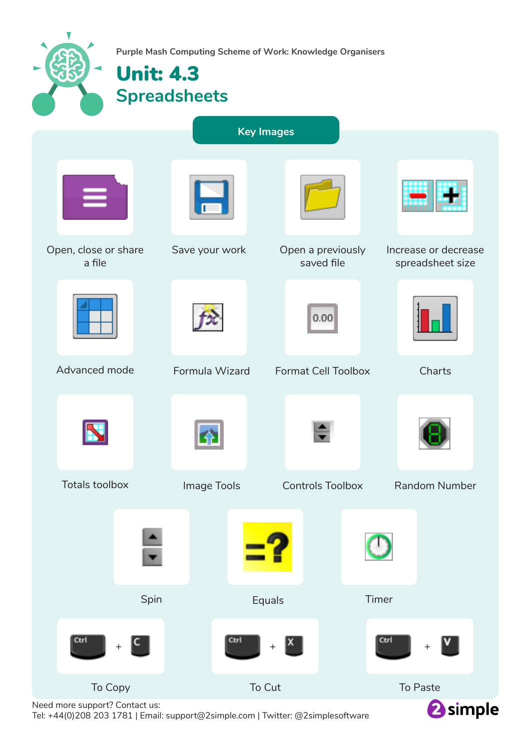| Purple Mash Computing Scheme of Work: Knowledge Organisers<br><b>Unit: 4.3</b><br><b>Spreadsheets</b> |                |                                 |                                          |
|-------------------------------------------------------------------------------------------------------|----------------|---------------------------------|------------------------------------------|
| <b>Key Images</b>                                                                                     |                |                                 |                                          |
|                                                                                                       |                |                                 |                                          |
| Open, close or share<br>a file                                                                        | Save your work | Open a previously<br>saved file | Increase or decrease<br>spreadsheet size |
|                                                                                                       |                | 0.00                            |                                          |
| Advanced mode                                                                                         | Formula Wizard | <b>Format Cell Toolbox</b>      | Charts                                   |
|                                                                                                       |                |                                 |                                          |
| <b>Totals toolbox</b>                                                                                 | Image Tools    | <b>Controls Toolbox</b>         | <b>Random Number</b>                     |
|                                                                                                       |                |                                 |                                          |
| Spin                                                                                                  |                | Equals                          | Timer                                    |
| Ctrl<br>$\mathsf{C}^{\mathsf{c}}$<br>$\boldsymbol{+}$                                                 | Ctrl           | x <br>$\qquad \qquad +$         | Ctrl<br>$\,{}^+$                         |
| To Copy                                                                                               |                | To Cut                          | To Paste                                 |

Need more support? Contact us: Tel: +44(0)208 203 1781 | Email: support@2simple.com | Twitter: @2simplesoftware <sup>2</sup>simple